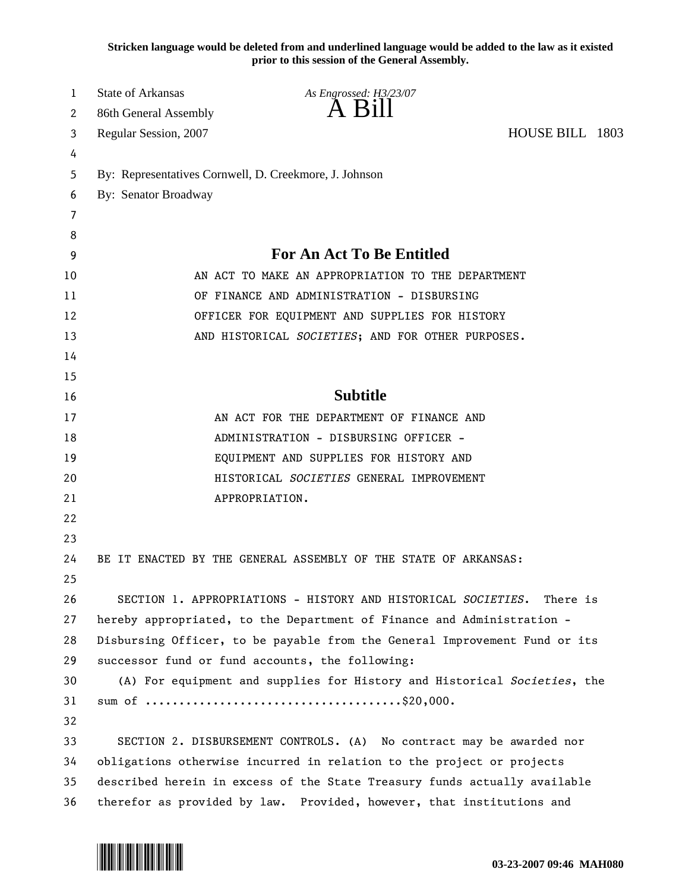**Stricken language would be deleted from and underlined language would be added to the law as it existed prior to this session of the General Assembly.**

| 1  | <b>State of Arkansas</b>                                                   | As Engrossed: H3/23/07                                               |                 |  |  |
|----|----------------------------------------------------------------------------|----------------------------------------------------------------------|-----------------|--|--|
| 2  | 86th General Assembly                                                      | A B1                                                                 |                 |  |  |
| 3  | Regular Session, 2007                                                      |                                                                      | HOUSE BILL 1803 |  |  |
| 4  |                                                                            |                                                                      |                 |  |  |
| 5  | By: Representatives Cornwell, D. Creekmore, J. Johnson                     |                                                                      |                 |  |  |
| 6  | By: Senator Broadway                                                       |                                                                      |                 |  |  |
| 7  |                                                                            |                                                                      |                 |  |  |
| 8  |                                                                            |                                                                      |                 |  |  |
| 9  | <b>For An Act To Be Entitled</b>                                           |                                                                      |                 |  |  |
| 10 | AN ACT TO MAKE AN APPROPRIATION TO THE DEPARTMENT                          |                                                                      |                 |  |  |
| 11 | OF FINANCE AND ADMINISTRATION - DISBURSING                                 |                                                                      |                 |  |  |
| 12 | OFFICER FOR EQUIPMENT AND SUPPLIES FOR HISTORY                             |                                                                      |                 |  |  |
| 13 |                                                                            | AND HISTORICAL SOCIETIES; AND FOR OTHER PURPOSES.                    |                 |  |  |
| 14 |                                                                            |                                                                      |                 |  |  |
| 15 |                                                                            |                                                                      |                 |  |  |
| 16 | <b>Subtitle</b>                                                            |                                                                      |                 |  |  |
| 17 |                                                                            | AN ACT FOR THE DEPARTMENT OF FINANCE AND                             |                 |  |  |
| 18 | ADMINISTRATION - DISBURSING OFFICER -                                      |                                                                      |                 |  |  |
| 19 |                                                                            | EQUIPMENT AND SUPPLIES FOR HISTORY AND                               |                 |  |  |
| 20 |                                                                            | HISTORICAL SOCIETIES GENERAL IMPROVEMENT                             |                 |  |  |
| 21 |                                                                            | APPROPRIATION.                                                       |                 |  |  |
| 22 |                                                                            |                                                                      |                 |  |  |
| 23 |                                                                            |                                                                      |                 |  |  |
| 24 |                                                                            | BE IT ENACTED BY THE GENERAL ASSEMBLY OF THE STATE OF ARKANSAS:      |                 |  |  |
| 25 |                                                                            |                                                                      |                 |  |  |
| 26 | SECTION 1. APPROPRIATIONS - HISTORY AND HISTORICAL SOCIETIES.<br>There is  |                                                                      |                 |  |  |
| 27 | hereby appropriated, to the Department of Finance and Administration -     |                                                                      |                 |  |  |
| 28 | Disbursing Officer, to be payable from the General Improvement Fund or its |                                                                      |                 |  |  |
| 29 | successor fund or fund accounts, the following:                            |                                                                      |                 |  |  |
| 30 | (A) For equipment and supplies for History and Historical Societies, the   |                                                                      |                 |  |  |
| 31 |                                                                            |                                                                      |                 |  |  |
| 32 |                                                                            |                                                                      |                 |  |  |
| 33 |                                                                            | SECTION 2. DISBURSEMENT CONTROLS. (A) No contract may be awarded nor |                 |  |  |
| 34 | obligations otherwise incurred in relation to the project or projects      |                                                                      |                 |  |  |
| 35 | described herein in excess of the State Treasury funds actually available  |                                                                      |                 |  |  |
| 36 | therefor as provided by law. Provided, however, that institutions and      |                                                                      |                 |  |  |

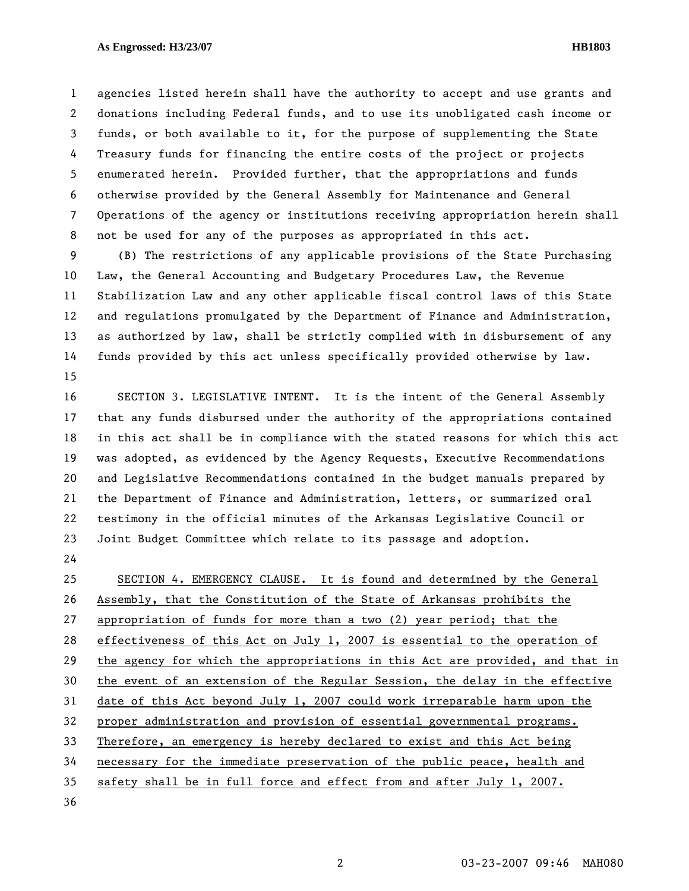## **As Engrossed: H3/23/07 HB1803**

1 agencies listed herein shall have the authority to accept and use grants and 2 donations including Federal funds, and to use its unobligated cash income or 3 funds, or both available to it, for the purpose of supplementing the State 4 Treasury funds for financing the entire costs of the project or projects 5 enumerated herein. Provided further, that the appropriations and funds 6 otherwise provided by the General Assembly for Maintenance and General 7 Operations of the agency or institutions receiving appropriation herein shall 8 not be used for any of the purposes as appropriated in this act.

9 (B) The restrictions of any applicable provisions of the State Purchasing 10 Law, the General Accounting and Budgetary Procedures Law, the Revenue 11 Stabilization Law and any other applicable fiscal control laws of this State 12 and regulations promulgated by the Department of Finance and Administration, 13 as authorized by law, shall be strictly complied with in disbursement of any 14 funds provided by this act unless specifically provided otherwise by law. 15

16 SECTION 3. LEGISLATIVE INTENT. It is the intent of the General Assembly 17 that any funds disbursed under the authority of the appropriations contained 18 in this act shall be in compliance with the stated reasons for which this act 19 was adopted, as evidenced by the Agency Requests, Executive Recommendations 20 and Legislative Recommendations contained in the budget manuals prepared by 21 the Department of Finance and Administration, letters, or summarized oral 22 testimony in the official minutes of the Arkansas Legislative Council or 23 Joint Budget Committee which relate to its passage and adoption.

24

25 SECTION 4. EMERGENCY CLAUSE. It is found and determined by the General 26 Assembly, that the Constitution of the State of Arkansas prohibits the 27 appropriation of funds for more than a two (2) year period; that the 28 effectiveness of this Act on July 1, 2007 is essential to the operation of 29 the agency for which the appropriations in this Act are provided, and that in 30 the event of an extension of the Regular Session, the delay in the effective 31 date of this Act beyond July 1, 2007 could work irreparable harm upon the 32 proper administration and provision of essential governmental programs. 33 Therefore, an emergency is hereby declared to exist and this Act being 34 necessary for the immediate preservation of the public peace, health and 35 safety shall be in full force and effect from and after July 1, 2007.